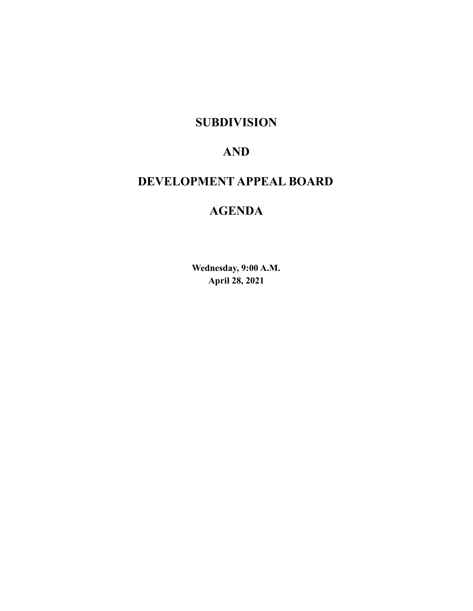# **SUBDIVISION**

# **AND**

# **DEVELOPMENT APPEAL BOARD**

# **AGENDA**

**Wednesday, 9:00 A.M. April 28, 2021**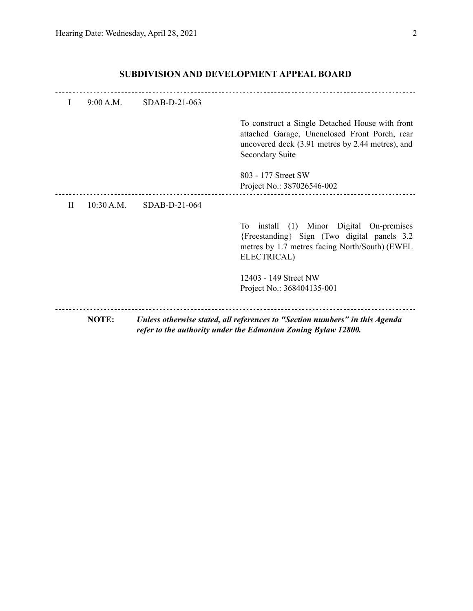| I           | 9:00 A.M.  | SDAB-D-21-063 |                                                                                                                                                                                |
|-------------|------------|---------------|--------------------------------------------------------------------------------------------------------------------------------------------------------------------------------|
|             |            |               | To construct a Single Detached House with front<br>attached Garage, Unenclosed Front Porch, rear<br>uncovered deck (3.91 metres by 2.44 metres), and<br><b>Secondary Suite</b> |
|             |            |               | 803 - 177 Street SW<br>Project No.: 387026546-002                                                                                                                              |
| $_{\rm II}$ | 10:30 A.M. | SDAB-D-21-064 |                                                                                                                                                                                |
|             |            |               | $(1)$ Minor<br>Digital<br>To<br>install<br>On-premises<br>{Freestanding} Sign (Two digital panels 3.2)<br>metres by 1.7 metres facing North/South) (EWEL<br>ELECTRICAL)        |
|             |            |               | 12403 - 149 Street NW                                                                                                                                                          |
|             |            |               | Project No.: 368404135-001                                                                                                                                                     |
|             | NOTE:      |               | Unless otherwise stated, all references to "Section numbers" in this Agenda<br>refer to the authority under the Edmonton Zoning Bylaw 12800.                                   |

# **SUBDIVISION AND DEVELOPMENT APPEAL BOARD**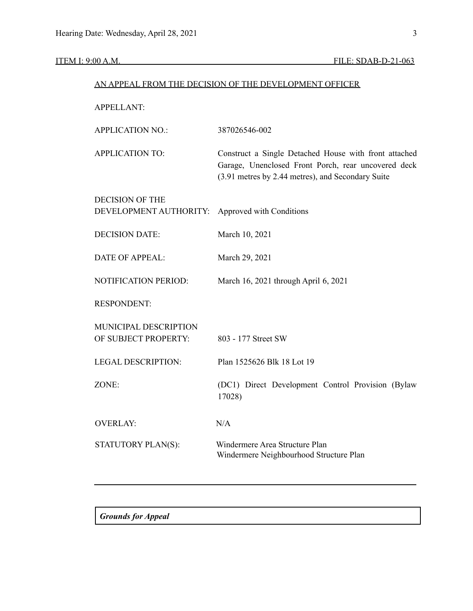|                                                  | AN APPEAL FROM THE DECISION OF THE DEVELOPMENT OFFICER                                                                                                            |
|--------------------------------------------------|-------------------------------------------------------------------------------------------------------------------------------------------------------------------|
| <b>APPELLANT:</b>                                |                                                                                                                                                                   |
| <b>APPLICATION NO.:</b>                          | 387026546-002                                                                                                                                                     |
| <b>APPLICATION TO:</b>                           | Construct a Single Detached House with front attached<br>Garage, Unenclosed Front Porch, rear uncovered deck<br>(3.91 metres by 2.44 metres), and Secondary Suite |
| <b>DECISION OF THE</b><br>DEVELOPMENT AUTHORITY: | Approved with Conditions                                                                                                                                          |
| <b>DECISION DATE:</b>                            | March 10, 2021                                                                                                                                                    |
| <b>DATE OF APPEAL:</b>                           | March 29, 2021                                                                                                                                                    |
| NOTIFICATION PERIOD:                             | March 16, 2021 through April 6, 2021                                                                                                                              |
| <b>RESPONDENT:</b>                               |                                                                                                                                                                   |
| MUNICIPAL DESCRIPTION<br>OF SUBJECT PROPERTY:    | 803 - 177 Street SW                                                                                                                                               |
| <b>LEGAL DESCRIPTION:</b>                        | Plan 1525626 Blk 18 Lot 19                                                                                                                                        |
| ZONE:                                            | (DC1) Direct Development Control Provision (Bylaw<br>17028)                                                                                                       |
| <b>OVERLAY:</b>                                  | N/A                                                                                                                                                               |
| STATUTORY PLAN(S):                               | Windermere Area Structure Plan<br>Windermere Neighbourhood Structure Plan                                                                                         |
|                                                  |                                                                                                                                                                   |

*Grounds for Appeal*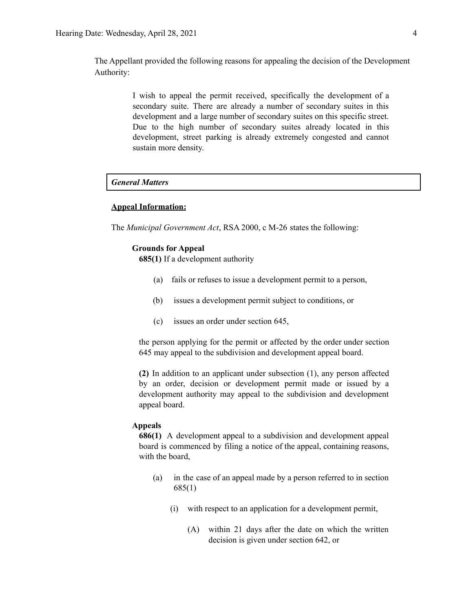The Appellant provided the following reasons for appealing the decision of the Development Authority:

> I wish to appeal the permit received, specifically the development of a secondary suite. There are already a number of secondary suites in this development and a large number of secondary suites on this specific street. Due to the high number of secondary suites already located in this development, street parking is already extremely congested and cannot sustain more density.

# *General Matters*

## **Appeal Information:**

The *Municipal Government Act*, RSA 2000, c M-26 states the following:

## **Grounds for Appeal**

**685(1)** If a development authority

- (a) fails or refuses to issue a development permit to a person,
- (b) issues a development permit subject to conditions, or
- (c) issues an order under section 645,

the person applying for the permit or affected by the order under section 645 may appeal to the subdivision and development appeal board.

**(2)** In addition to an applicant under subsection (1), any person affected by an order, decision or development permit made or issued by a development authority may appeal to the subdivision and development appeal board.

#### **Appeals**

**686(1)** A development appeal to a subdivision and development appeal board is commenced by filing a notice of the appeal, containing reasons, with the board,

- (a) in the case of an appeal made by a person referred to in section 685(1)
	- (i) with respect to an application for a development permit,
		- (A) within 21 days after the date on which the written decision is given under section 642, or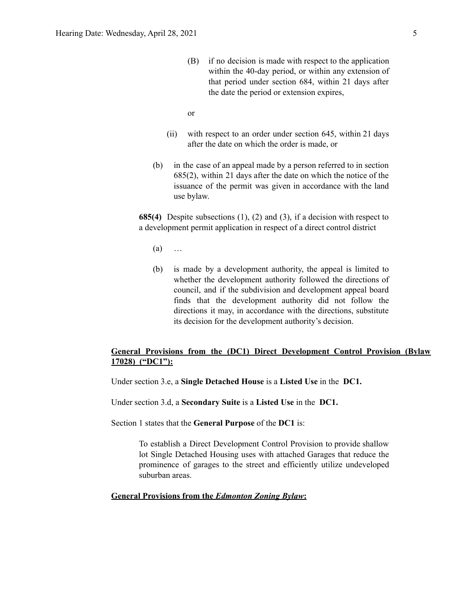(B) if no decision is made with respect to the application within the 40-day period, or within any extension of that period under section 684, within 21 days after the date the period or extension expires,

or

- (ii) with respect to an order under section 645, within 21 days after the date on which the order is made, or
- (b) in the case of an appeal made by a person referred to in section 685(2), within 21 days after the date on which the notice of the issuance of the permit was given in accordance with the land use bylaw.

**685(4)** Despite subsections (1), (2) and (3), if a decision with respect to a development permit application in respect of a direct control district

- $(a)$  …
- (b) is made by a development authority, the appeal is limited to whether the development authority followed the directions of council, and if the subdivision and development appeal board finds that the development authority did not follow the directions it may, in accordance with the directions, substitute its decision for the development authority's decision.

# **General Provisions from the (DC1) Direct Development Control Provision (Bylaw 17028) ("DC1"):**

Under section 3.e, a **Single Detached House** is a **Listed Use** in the **DC1.**

Under section 3.d, a **Secondary Suite** is a **Listed Use** in the **DC1.**

Section 1 states that the **General Purpose** of the **DC1** is:

To establish a Direct Development Control Provision to provide shallow lot Single Detached Housing uses with attached Garages that reduce the prominence of garages to the street and efficiently utilize undeveloped suburban areas.

# **General Provisions from the** *Edmonton Zoning Bylaw***:**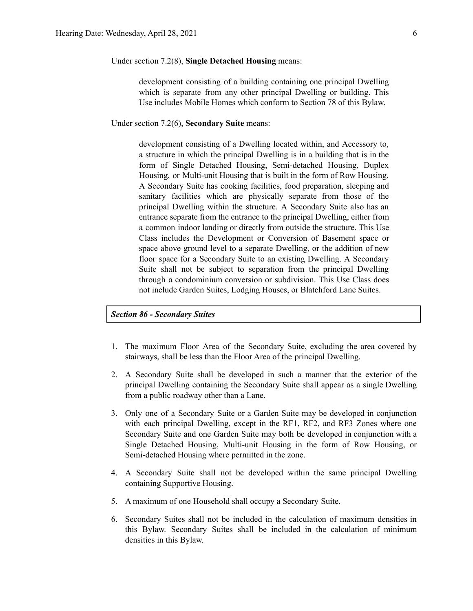Under section 7.2(8), **Single Detached Housing** means:

development consisting of a building containing one principal Dwelling which is separate from any other principal Dwelling or building. This Use includes Mobile Homes which conform to Section 78 of this Bylaw.

Under section 7.2(6), **Secondary Suite** means:

development consisting of a Dwelling located within, and Accessory to, a structure in which the principal Dwelling is in a building that is in the form of Single Detached Housing, Semi-detached Housing, Duplex Housing, or Multi-unit Housing that is built in the form of Row Housing. A Secondary Suite has cooking facilities, food preparation, sleeping and sanitary facilities which are physically separate from those of the principal Dwelling within the structure. A Secondary Suite also has an entrance separate from the entrance to the principal Dwelling, either from a common indoor landing or directly from outside the structure. This Use Class includes the Development or Conversion of Basement space or space above ground level to a separate Dwelling, or the addition of new floor space for a Secondary Suite to an existing Dwelling. A Secondary Suite shall not be subject to separation from the principal Dwelling through a condominium conversion or subdivision. This Use Class does not include Garden Suites, Lodging Houses, or Blatchford Lane Suites.

*Section 86 - Secondary Suites*

- 1. The maximum Floor Area of the Secondary Suite, excluding the area covered by stairways, shall be less than the Floor Area of the principal Dwelling.
- 2. A Secondary Suite shall be developed in such a manner that the exterior of the principal Dwelling containing the Secondary Suite shall appear as a single Dwelling from a public roadway other than a Lane.
- 3. Only one of a Secondary Suite or a Garden Suite may be developed in conjunction with each principal Dwelling, except in the RF1, RF2, and RF3 Zones where one Secondary Suite and one Garden Suite may both be developed in conjunction with a Single Detached Housing, Multi-unit Housing in the form of Row Housing, or Semi-detached Housing where permitted in the zone.
- 4. A Secondary Suite shall not be developed within the same principal Dwelling containing Supportive Housing.
- 5. A maximum of one Household shall occupy a Secondary Suite.
- 6. Secondary Suites shall not be included in the calculation of maximum densities in this Bylaw. Secondary Suites shall be included in the calculation of minimum densities in this Bylaw.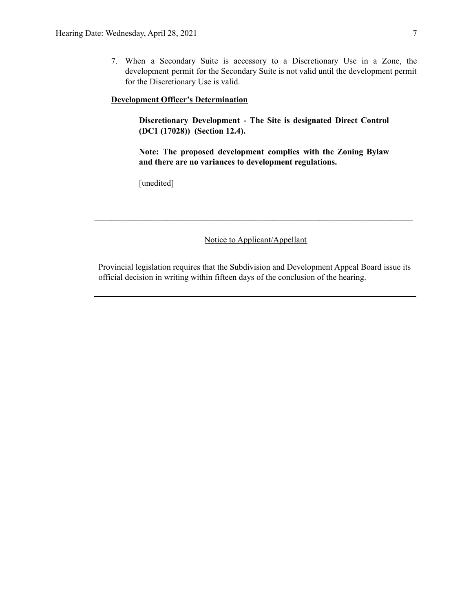7. When a Secondary Suite is accessory to a Discretionary Use in a Zone, the development permit for the Secondary Suite is not valid until the development permit for the Discretionary Use is valid.

## **Development Officer's Determination**

**Discretionary Development - The Site is designated Direct Control (DC1 (17028)) (Section 12.4).**

**Note: The proposed development complies with the Zoning Bylaw and there are no variances to development regulations.**

[unedited]

Notice to Applicant/Appellant

 $\mathcal{L}_\text{max} = \frac{1}{2} \sum_{i=1}^n \mathcal{L}_\text{max} = \frac{1}{2} \sum_{i=1}^n \mathcal{L}_\text{max} = \frac{1}{2} \sum_{i=1}^n \mathcal{L}_\text{max} = \frac{1}{2} \sum_{i=1}^n \mathcal{L}_\text{max} = \frac{1}{2} \sum_{i=1}^n \mathcal{L}_\text{max} = \frac{1}{2} \sum_{i=1}^n \mathcal{L}_\text{max} = \frac{1}{2} \sum_{i=1}^n \mathcal{L}_\text{max} = \frac{1}{2} \sum_{i=$ 

Provincial legislation requires that the Subdivision and Development Appeal Board issue its official decision in writing within fifteen days of the conclusion of the hearing.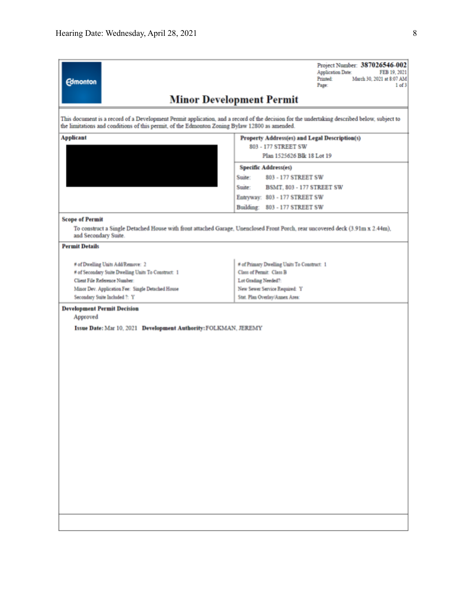| <b>Edmonton</b>                                                                               | Project Number: 387026546-002<br><b>Application Date:</b><br>FEB 19, 2021<br>Printed<br>March 30, 2021 at 8:07 AM<br>Page:<br>$1$ of $3$    |
|-----------------------------------------------------------------------------------------------|---------------------------------------------------------------------------------------------------------------------------------------------|
|                                                                                               | <b>Minor Development Permit</b>                                                                                                             |
| the limitations and conditions of this permit, of the Edmonton Zoning Bylaw 12800 as amended. | This document is a record of a Development Permit application, and a record of the decision for the undertaking described below, subject to |
| <b>Applicant</b>                                                                              | Property Address(es) and Legal Description(s)                                                                                               |
|                                                                                               | 803 - 177 STREET SW                                                                                                                         |
|                                                                                               | Plan 1525626 Blk 18 Lot 19                                                                                                                  |
|                                                                                               | <b>Specific Address(es)</b>                                                                                                                 |
|                                                                                               | Suite:<br>803 - 177 STREET SW                                                                                                               |
|                                                                                               | Suite:<br><b>BSMT. 803 - 177 STREET SW</b>                                                                                                  |
|                                                                                               | Entryway: 803 - 177 STREET SW                                                                                                               |
|                                                                                               | Building: 803 - 177 STREET SW                                                                                                               |
|                                                                                               |                                                                                                                                             |
| <b>Scope of Permit</b>                                                                        |                                                                                                                                             |
| and Secondary Suite.                                                                          | To construct a Single Detached House with front attached Garage, Unenclosed Front Porch, rear uncovered deck (3.91m x 2.44m),               |
| <b>Permit Details</b>                                                                         |                                                                                                                                             |
| # of Dwelling Units Add/Remove: 2                                                             | # of Primary Dwelling Units To Construct: 1                                                                                                 |
| # of Secondary Suite Dwelling Units To Construct: 1                                           | Class of Permit: Class B                                                                                                                    |
| Client File Reference Number:                                                                 | Lot Grading Needed?:                                                                                                                        |
| Minor Dev. Application Fee: Single Detached House                                             | New Sewer Service Required: Y                                                                                                               |
| Secondary Suite Included ?: Y                                                                 | Stat. Plan Overlay/Annex Area:                                                                                                              |
| <b>Development Permit Decision</b><br>Approved                                                |                                                                                                                                             |
| Issue Date: Mar 10, 2021 Development Authority: FOLKMAN, JEREMY                               |                                                                                                                                             |
|                                                                                               |                                                                                                                                             |
|                                                                                               |                                                                                                                                             |
|                                                                                               |                                                                                                                                             |
|                                                                                               |                                                                                                                                             |
|                                                                                               |                                                                                                                                             |
|                                                                                               |                                                                                                                                             |
|                                                                                               |                                                                                                                                             |
|                                                                                               |                                                                                                                                             |
|                                                                                               |                                                                                                                                             |
|                                                                                               |                                                                                                                                             |
|                                                                                               |                                                                                                                                             |
|                                                                                               |                                                                                                                                             |
|                                                                                               |                                                                                                                                             |
|                                                                                               |                                                                                                                                             |
|                                                                                               |                                                                                                                                             |
|                                                                                               |                                                                                                                                             |
|                                                                                               |                                                                                                                                             |
|                                                                                               |                                                                                                                                             |
|                                                                                               |                                                                                                                                             |
|                                                                                               |                                                                                                                                             |
|                                                                                               |                                                                                                                                             |
|                                                                                               |                                                                                                                                             |
|                                                                                               |                                                                                                                                             |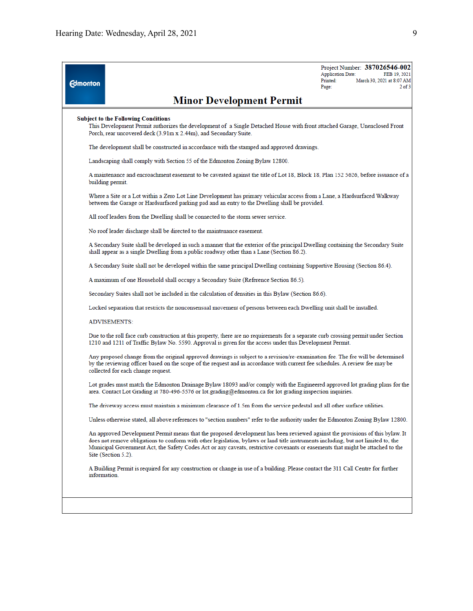| <b>Edmonton</b> |                                                                                                                                                                                                                                                                                                                                                                                                                               | <b>Application Date:</b><br>Printed:<br>Page: | Project Number: 387026546-002<br>FEB 19, 2021<br>March 30, 2021 at 8:07 AM<br>$2$ of $3$ |
|-----------------|-------------------------------------------------------------------------------------------------------------------------------------------------------------------------------------------------------------------------------------------------------------------------------------------------------------------------------------------------------------------------------------------------------------------------------|-----------------------------------------------|------------------------------------------------------------------------------------------|
|                 | <b>Minor Development Permit</b>                                                                                                                                                                                                                                                                                                                                                                                               |                                               |                                                                                          |
|                 | <b>Subject to the Following Conditions</b><br>This Development Permit authorizes the development of a Single Detached House with front attached Garage, Unenclosed Front<br>Porch, rear uncovered deck (3.91m x 2.44m), and Secondary Suite.                                                                                                                                                                                  |                                               |                                                                                          |
|                 | The development shall be constructed in accordance with the stamped and approved drawings.                                                                                                                                                                                                                                                                                                                                    |                                               |                                                                                          |
|                 | Landscaping shall comply with Section 55 of the Edmonton Zoning Bylaw 12800.                                                                                                                                                                                                                                                                                                                                                  |                                               |                                                                                          |
|                 | A maintenance and encroachment easement to be caveated against the title of Lot 18, Block 18, Plan 152 5626, before issuance of a<br>building permit.                                                                                                                                                                                                                                                                         |                                               |                                                                                          |
|                 | Where a Site or a Lot within a Zero Lot Line Development has primary vehicular access from a Lane, a Hardsurfaced Walkway<br>between the Garage or Hardsurfaced parking pad and an entry to the Dwelling shall be provided.                                                                                                                                                                                                   |                                               |                                                                                          |
|                 | All roof leaders from the Dwelling shall be connected to the storm sewer service.                                                                                                                                                                                                                                                                                                                                             |                                               |                                                                                          |
|                 | No roof leader discharge shall be directed to the maintenance easement.                                                                                                                                                                                                                                                                                                                                                       |                                               |                                                                                          |
|                 | A Secondary Suite shall be developed in such a manner that the exterior of the principal Dwelling containing the Secondary Suite<br>shall appear as a single Dwelling from a public roadway other than a Lane (Section 86.2).                                                                                                                                                                                                 |                                               |                                                                                          |
|                 | A Secondary Suite shall not be developed within the same principal Dwelling containing Supportive Housing (Section 86.4).                                                                                                                                                                                                                                                                                                     |                                               |                                                                                          |
|                 | A maximum of one Household shall occupy a Secondary Suite (Reference Section 86.5).                                                                                                                                                                                                                                                                                                                                           |                                               |                                                                                          |
|                 | Secondary Suites shall not be included in the calculation of densities in this Bylaw (Section 86.6).                                                                                                                                                                                                                                                                                                                          |                                               |                                                                                          |
|                 | Locked separation that restricts the nonconsensual movement of persons between each Dwelling unit shall be installed.                                                                                                                                                                                                                                                                                                         |                                               |                                                                                          |
|                 | <b>ADVISEMENTS:</b>                                                                                                                                                                                                                                                                                                                                                                                                           |                                               |                                                                                          |
|                 | Due to the roll face curb construction at this property, there are no requirements for a separate curb crossing permit under Section<br>1210 and 1211 of Traffic Bylaw No. 5590. Approval is given for the access under this Development Permit.                                                                                                                                                                              |                                               |                                                                                          |
|                 | Any proposed change from the original approved drawings is subject to a revision/re-examination fee. The fee will be determined<br>by the reviewing officer based on the scope of the request and in accordance with current fee schedules. A review fee may be<br>collected for each change request.                                                                                                                         |                                               |                                                                                          |
|                 | Lot grades must match the Edmonton Drainage Bylaw 18093 and/or comply with the Engineered approved lot grading plans for the<br>area. Contact Lot Grading at 780-496-5576 or lot grading@edmonton.ca for lot grading inspection inquiries.                                                                                                                                                                                    |                                               |                                                                                          |
|                 | The driveway access must maintain a minimum clearance of 1.5m from the service pedestal and all other surface utilities.                                                                                                                                                                                                                                                                                                      |                                               |                                                                                          |
|                 | Unless otherwise stated, all above references to "section numbers" refer to the authority under the Edmonton Zoning Bylaw 12800.                                                                                                                                                                                                                                                                                              |                                               |                                                                                          |
|                 | An approved Development Permit means that the proposed development has been reviewed against the provisions of this bylaw. It<br>does not remove obligations to conform with other legislation, bylaws or land title instruments including, but not limited to, the<br>Municipal Government Act, the Safety Codes Act or any caveats, restrictive covenants or easements that might be attached to the<br>Site (Section 5.2). |                                               |                                                                                          |
|                 | A Building Permit is required for any construction or change in use of a building. Please contact the 311 Call Centre for further<br>information.                                                                                                                                                                                                                                                                             |                                               |                                                                                          |
|                 |                                                                                                                                                                                                                                                                                                                                                                                                                               |                                               |                                                                                          |
|                 |                                                                                                                                                                                                                                                                                                                                                                                                                               |                                               |                                                                                          |
|                 |                                                                                                                                                                                                                                                                                                                                                                                                                               |                                               |                                                                                          |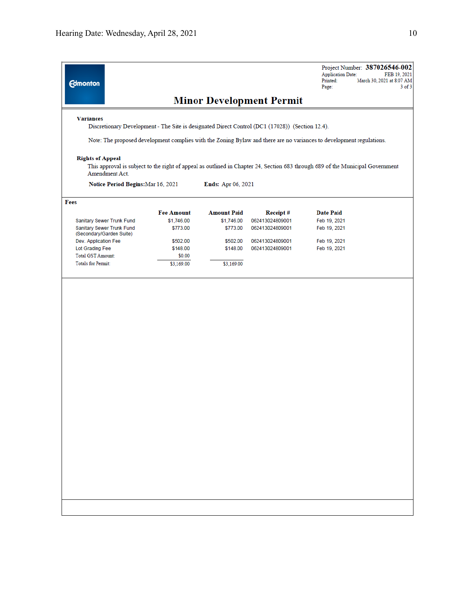| <b>Edmonton</b>                                                                                                      |                   |                    | <b>Minor Development Permit</b> | Project Number: 387026546-002<br><b>Application Date:</b><br>FEB 19, 2021<br>Printed:<br>March 30, 2021 at 8:07 AM<br>Page:<br>$3$ of $3$ |
|----------------------------------------------------------------------------------------------------------------------|-------------------|--------------------|---------------------------------|-------------------------------------------------------------------------------------------------------------------------------------------|
| <b>Variances</b><br>Discretionary Development - The Site is designated Direct Control (DC1 (17028)) (Section 12.4).  |                   |                    |                                 |                                                                                                                                           |
| Note: The proposed development complies with the Zoning Bylaw and there are no variances to development regulations. |                   |                    |                                 |                                                                                                                                           |
| <b>Rights of Appeal</b><br>Amendment Act.                                                                            |                   |                    |                                 | This approval is subject to the right of appeal as outlined in Chapter 24, Section 683 through 689 of the Municipal Government            |
| Notice Period Begins: Mar 16, 2021                                                                                   |                   | Ends: Apr 06, 2021 |                                 |                                                                                                                                           |
| Fees                                                                                                                 |                   |                    |                                 |                                                                                                                                           |
|                                                                                                                      | <b>Fee Amount</b> | <b>Amount Paid</b> | Receipt#                        | <b>Date Paid</b>                                                                                                                          |
| Sanitary Sewer Trunk Fund                                                                                            | \$1,746.00        | \$1,746.00         | 062413024809001                 | Feb 19, 2021                                                                                                                              |
| Sanitary Sewer Trunk Fund<br>(Secondary/Garden Suite)                                                                | \$773.00          | \$773.00           | 062413024809001                 | Feb 19, 2021                                                                                                                              |
| Dev. Application Fee                                                                                                 | \$502.00          | \$502.00           | 062413024809001                 | Feb 19, 2021                                                                                                                              |
| Lot Grading Fee                                                                                                      | \$148.00          | \$148.00           | 062413024809001                 | Feb 19, 2021                                                                                                                              |
| <b>Total GST Amount:</b>                                                                                             | \$0.00            |                    |                                 |                                                                                                                                           |
| <b>Totals for Permit:</b>                                                                                            | \$3,169.00        | \$3,169.00         |                                 |                                                                                                                                           |
|                                                                                                                      |                   |                    |                                 |                                                                                                                                           |
|                                                                                                                      |                   |                    |                                 |                                                                                                                                           |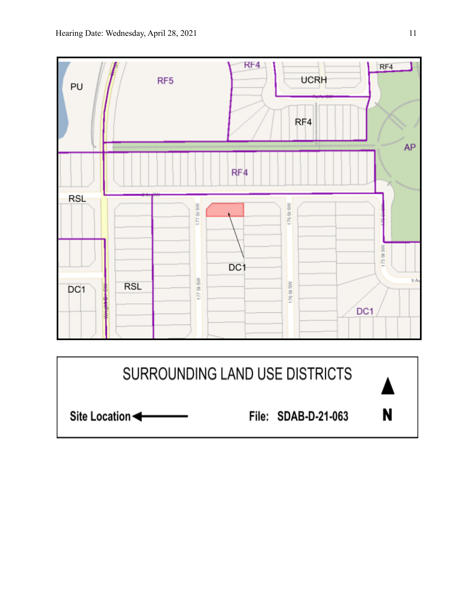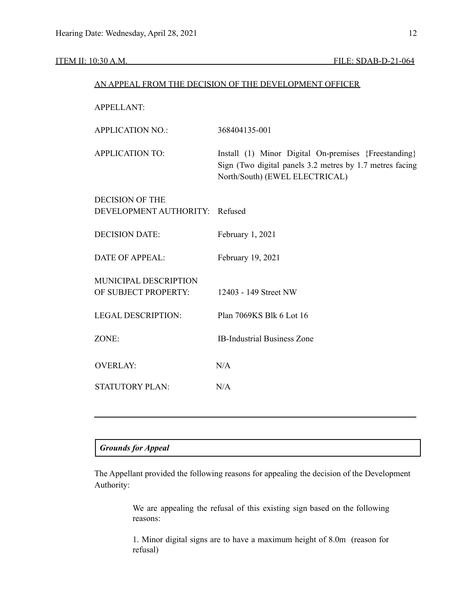|                                               | AN APPEAL FROM THE DECISION OF THE DEVELOPMENT OFFICER                                                                                             |
|-----------------------------------------------|----------------------------------------------------------------------------------------------------------------------------------------------------|
| <b>APPELLANT:</b>                             |                                                                                                                                                    |
| <b>APPLICATION NO.:</b>                       | 368404135-001                                                                                                                                      |
| <b>APPLICATION TO:</b>                        | Install (1) Minor Digital On-premises {Freestanding}<br>Sign (Two digital panels 3.2 metres by 1.7 metres facing<br>North/South) (EWEL ELECTRICAL) |
| <b>DECISION OF THE</b>                        |                                                                                                                                                    |
| DEVELOPMENT AUTHORITY: Refused                |                                                                                                                                                    |
| <b>DECISION DATE:</b>                         | February 1, 2021                                                                                                                                   |
| <b>DATE OF APPEAL:</b>                        | February 19, 2021                                                                                                                                  |
| MUNICIPAL DESCRIPTION<br>OF SUBJECT PROPERTY: | 12403 - 149 Street NW                                                                                                                              |
| <b>LEGAL DESCRIPTION:</b>                     | Plan 7069KS Blk 6 Lot 16                                                                                                                           |
| ZONE:                                         | <b>IB-Industrial Business Zone</b>                                                                                                                 |
| <b>OVERLAY:</b>                               | N/A                                                                                                                                                |
| <b>STATUTORY PLAN:</b>                        | N/A                                                                                                                                                |
|                                               |                                                                                                                                                    |

# *Grounds for Appeal*

The Appellant provided the following reasons for appealing the decision of the Development Authority:

> We are appealing the refusal of this existing sign based on the following reasons:

> 1. Minor digital signs are to have a maximum height of 8.0m (reason for refusal)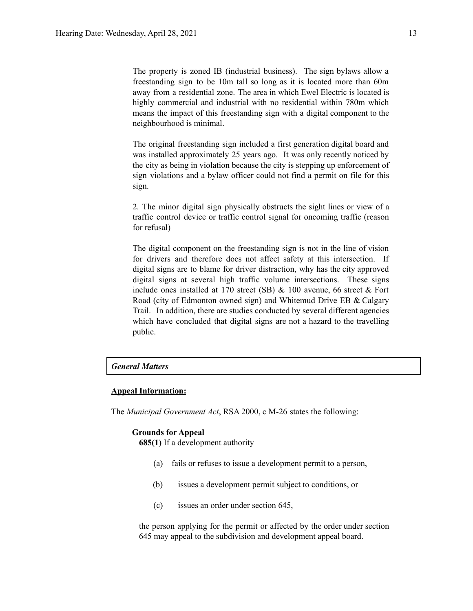The property is zoned IB (industrial business). The sign bylaws allow a freestanding sign to be 10m tall so long as it is located more than 60m away from a residential zone. The area in which Ewel Electric is located is highly commercial and industrial with no residential within 780m which means the impact of this freestanding sign with a digital component to the neighbourhood is minimal.

The original freestanding sign included a first generation digital board and was installed approximately 25 years ago. It was only recently noticed by the city as being in violation because the city is stepping up enforcement of sign violations and a bylaw officer could not find a permit on file for this sign.

2. The minor digital sign physically obstructs the sight lines or view of a traffic control device or traffic control signal for oncoming traffic (reason for refusal)

The digital component on the freestanding sign is not in the line of vision for drivers and therefore does not affect safety at this intersection. If digital signs are to blame for driver distraction, why has the city approved digital signs at several high traffic volume intersections. These signs include ones installed at 170 street (SB) & 100 avenue, 66 street & Fort Road (city of Edmonton owned sign) and Whitemud Drive EB & Calgary Trail. In addition, there are studies conducted by several different agencies which have concluded that digital signs are not a hazard to the travelling public.

# *General Matters*

# **Appeal Information:**

The *Municipal Government Act*, RSA 2000, c M-26 states the following:

# **Grounds for Appeal**

**685(1)** If a development authority

- (a) fails or refuses to issue a development permit to a person,
- (b) issues a development permit subject to conditions, or
- (c) issues an order under section 645,

the person applying for the permit or affected by the order under section 645 may appeal to the subdivision and development appeal board.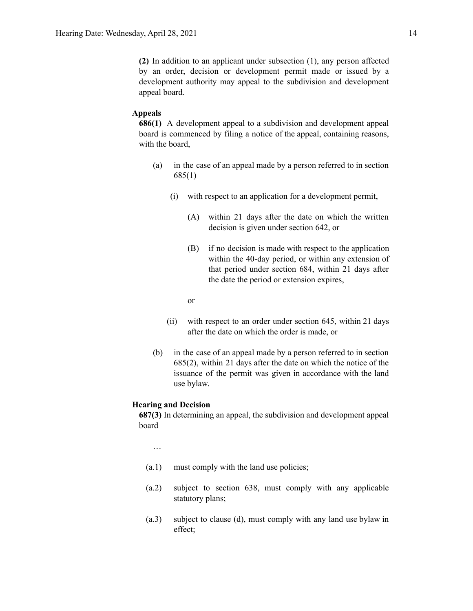**(2)** In addition to an applicant under subsection (1), any person affected by an order, decision or development permit made or issued by a development authority may appeal to the subdivision and development appeal board.

#### **Appeals**

**686(1)** A development appeal to a subdivision and development appeal board is commenced by filing a notice of the appeal, containing reasons, with the board,

- (a) in the case of an appeal made by a person referred to in section 685(1)
	- (i) with respect to an application for a development permit,
		- (A) within 21 days after the date on which the written decision is given under section 642, or
		- (B) if no decision is made with respect to the application within the 40-day period, or within any extension of that period under section 684, within 21 days after the date the period or extension expires,

or

- (ii) with respect to an order under section 645, within 21 days after the date on which the order is made, or
- (b) in the case of an appeal made by a person referred to in section 685(2), within 21 days after the date on which the notice of the issuance of the permit was given in accordance with the land use bylaw.

## **Hearing and Decision**

**687(3)** In determining an appeal, the subdivision and development appeal board

…

- (a.1) must comply with the land use policies;
- (a.2) subject to section 638, must comply with any applicable statutory plans;
- (a.3) subject to clause (d), must comply with any land use bylaw in effect;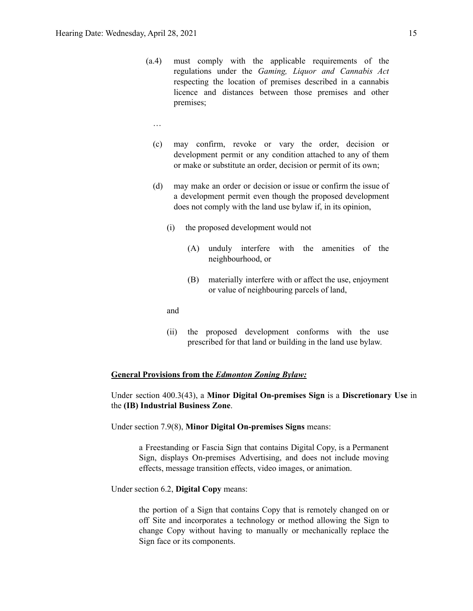- (a.4) must comply with the applicable requirements of the regulations under the *Gaming, Liquor and Cannabis Act* respecting the location of premises described in a cannabis licence and distances between those premises and other premises;
	- …
	- (c) may confirm, revoke or vary the order, decision or development permit or any condition attached to any of them or make or substitute an order, decision or permit of its own;
	- (d) may make an order or decision or issue or confirm the issue of a development permit even though the proposed development does not comply with the land use bylaw if, in its opinion,
		- (i) the proposed development would not
			- (A) unduly interfere with the amenities of the neighbourhood, or
			- (B) materially interfere with or affect the use, enjoyment or value of neighbouring parcels of land,

and

(ii) the proposed development conforms with the use prescribed for that land or building in the land use bylaw.

## **General Provisions from the** *Edmonton Zoning Bylaw:*

Under section 400.3(43), a **Minor Digital On-premises Sign** is a **Discretionary Use** in the **(IB) Industrial Business Zone**.

Under section 7.9(8), **Minor Digital On-premises Signs** means:

a Freestanding or Fascia Sign that contains Digital Copy, is a Permanent Sign, displays On-premises Advertising, and does not include moving effects, message transition effects, video images, or animation.

Under section 6.2, **Digital Copy** means:

the portion of a Sign that contains Copy that is remotely changed on or off Site and incorporates a technology or method allowing the Sign to change Copy without having to manually or mechanically replace the Sign face or its components.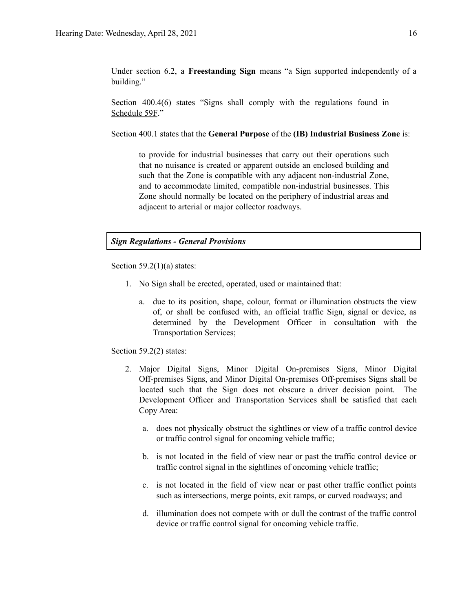Under section 6.2, a **Freestanding Sign** means "a Sign supported independently of a building."

Section 400.4(6) states "Signs shall comply with the regulations found in Schedule 59F."

Section 400.1 states that the **General Purpose** of the **(IB) Industrial Business Zone** is:

to provide for industrial businesses that carry out their operations such that no nuisance is created or apparent outside an enclosed building and such that the Zone is compatible with any adjacent non-industrial Zone, and to accommodate limited, compatible non-industrial businesses. This Zone should normally be located on the periphery of industrial areas and adjacent to arterial or major collector roadways.

# *Sign Regulations - General Provisions*

Section  $59.2(1)(a)$  states:

- 1. No Sign shall be erected, operated, used or maintained that:
	- a. due to its position, shape, colour, format or illumination obstructs the view of, or shall be confused with, an official traffic Sign, signal or device, as determined by the Development Officer in consultation with the Transportation Services;

Section 59.2(2) states:

- 2. Major Digital Signs, Minor Digital On-premises Signs, Minor Digital Off-premises Signs, and Minor Digital On-premises Off-premises Signs shall be located such that the Sign does not obscure a driver decision point. The Development Officer and Transportation Services shall be satisfied that each Copy Area:
	- a. does not physically obstruct the sightlines or view of a traffic control device or traffic control signal for oncoming vehicle traffic;
	- b. is not located in the field of view near or past the traffic control device or traffic control signal in the sightlines of oncoming vehicle traffic;
	- c. is not located in the field of view near or past other traffic conflict points such as intersections, merge points, exit ramps, or curved roadways; and
	- d. illumination does not compete with or dull the contrast of the traffic control device or traffic control signal for oncoming vehicle traffic.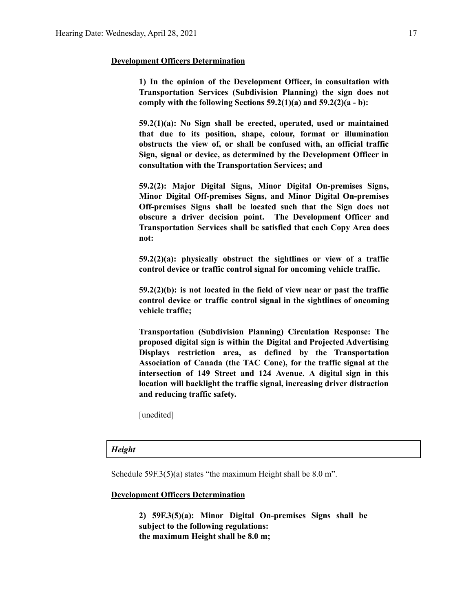## **Development Officers Determination**

**1) In the opinion of the Development Officer, in consultation with Transportation Services (Subdivision Planning) the sign does not comply with the following Sections 59.2(1)(a) and 59.2(2)(a - b):**

**59.2(1)(a): No Sign shall be erected, operated, used or maintained that due to its position, shape, colour, format or illumination obstructs the view of, or shall be confused with, an official traffic Sign, signal or device, as determined by the Development Officer in consultation with the Transportation Services; and**

**59.2(2): Major Digital Signs, Minor Digital On-premises Signs, Minor Digital Off-premises Signs, and Minor Digital On-premises Off-premises Signs shall be located such that the Sign does not obscure a driver decision point. The Development Officer and Transportation Services shall be satisfied that each Copy Area does not:**

**59.2(2)(a): physically obstruct the sightlines or view of a traffic control device or traffic control signal for oncoming vehicle traffic.**

**59.2(2)(b): is not located in the field of view near or past the traffic control device or traffic control signal in the sightlines of oncoming vehicle traffic;**

**Transportation (Subdivision Planning) Circulation Response: The proposed digital sign is within the Digital and Projected Advertising Displays restriction area, as defined by the Transportation Association of Canada (the TAC Cone), for the traffic signal at the intersection of 149 Street and 124 Avenue. A digital sign in this location will backlight the traffic signal, increasing driver distraction and reducing traffic safety.**

[unedited]

## *Height*

Schedule 59F.3(5)(a) states "the maximum Height shall be 8.0 m".

#### **Development Officers Determination**

**2) 59F.3(5)(a): Minor Digital On-premises Signs shall be subject to the following regulations: the maximum Height shall be 8.0 m;**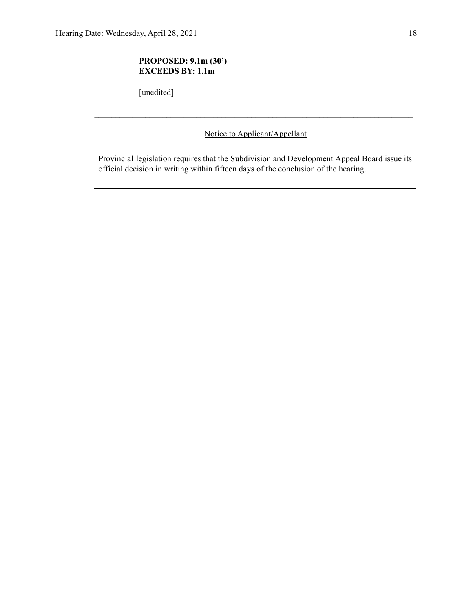# **PROPOSED: 9.1m (30') EXCEEDS BY: 1.1m**

[unedited]

Notice to Applicant/Appellant

 $\mathcal{L}_\text{max} = \frac{1}{2} \sum_{i=1}^n \mathcal{L}_\text{max} = \frac{1}{2} \sum_{i=1}^n \mathcal{L}_\text{max} = \frac{1}{2} \sum_{i=1}^n \mathcal{L}_\text{max} = \frac{1}{2} \sum_{i=1}^n \mathcal{L}_\text{max} = \frac{1}{2} \sum_{i=1}^n \mathcal{L}_\text{max} = \frac{1}{2} \sum_{i=1}^n \mathcal{L}_\text{max} = \frac{1}{2} \sum_{i=1}^n \mathcal{L}_\text{max} = \frac{1}{2} \sum_{i=$ 

Provincial legislation requires that the Subdivision and Development Appeal Board issue its official decision in writing within fifteen days of the conclusion of the hearing.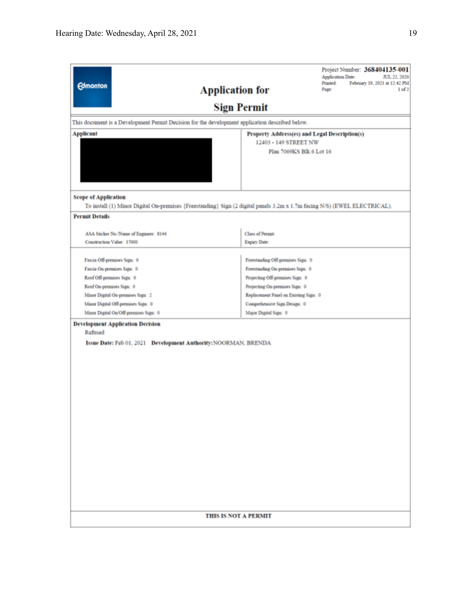| <b>Edmonton</b>                                                                                 | Project Number: 368404135-001<br>Application Date:<br>JUL 22, 2020<br>Printed:<br>February 19, 2021 at 12:42 PM<br><b>Application for</b><br>Page:<br>1 <sub>of</sub> 2 |  |  |  |  |
|-------------------------------------------------------------------------------------------------|-------------------------------------------------------------------------------------------------------------------------------------------------------------------------|--|--|--|--|
|                                                                                                 | <b>Sign Permit</b>                                                                                                                                                      |  |  |  |  |
| This document is a Development Permit Decision for the development application described below. |                                                                                                                                                                         |  |  |  |  |
| <b>Applicant</b><br>Property Address(es) and Legal Description(s)                               |                                                                                                                                                                         |  |  |  |  |
|                                                                                                 | 12403 - 149 STREET NW<br>Plan 7069KS Blk 6 Lot 16                                                                                                                       |  |  |  |  |
|                                                                                                 |                                                                                                                                                                         |  |  |  |  |
| <b>Scope of Application</b>                                                                     |                                                                                                                                                                         |  |  |  |  |
|                                                                                                 | To install (1) Minor Digital On-premises (Freestanding) Sign (2 digital panels 3.2m x 1.7m facing N/S) (EWEL ELECTRICAL).                                               |  |  |  |  |
| <b>Permit Details</b>                                                                           |                                                                                                                                                                         |  |  |  |  |
| ASA Sticker No./Name of Engineer: 8144                                                          | Class of Permit:                                                                                                                                                        |  |  |  |  |
| Construction Value: 17000                                                                       | Expiry Date:                                                                                                                                                            |  |  |  |  |
|                                                                                                 |                                                                                                                                                                         |  |  |  |  |
| Fascia Off-premises Sign: 0                                                                     | Freestanding Off-premises Sign: 0                                                                                                                                       |  |  |  |  |
| Fascia On-premises Sign: 0                                                                      | Freestanding On-premises Sign: 0                                                                                                                                        |  |  |  |  |
| Roof Off-premises Sign: 0                                                                       | Projecting Off-premises Sign: 0                                                                                                                                         |  |  |  |  |
| Roof On-premises Sign: 0<br>Minor Digital On-premises Sign: 2                                   | Projecting On-premises Sign: 0<br>Replacement Panel on Existing Sign: 0                                                                                                 |  |  |  |  |
| Minor Digital Off-premises Sign: 0                                                              | Comprehensive Sign Design: 0                                                                                                                                            |  |  |  |  |
| Minor Digital On/Off-premises Sign: 0                                                           | Major Digital Sign: 0                                                                                                                                                   |  |  |  |  |
| <b>Development Application Decision</b>                                                         |                                                                                                                                                                         |  |  |  |  |
| Refused                                                                                         |                                                                                                                                                                         |  |  |  |  |
| Issue Date: Feb 01, 2021 Development Authority: NOORMAN, BRENDA                                 |                                                                                                                                                                         |  |  |  |  |
|                                                                                                 |                                                                                                                                                                         |  |  |  |  |
|                                                                                                 |                                                                                                                                                                         |  |  |  |  |
|                                                                                                 |                                                                                                                                                                         |  |  |  |  |
|                                                                                                 |                                                                                                                                                                         |  |  |  |  |
|                                                                                                 |                                                                                                                                                                         |  |  |  |  |
|                                                                                                 |                                                                                                                                                                         |  |  |  |  |
|                                                                                                 |                                                                                                                                                                         |  |  |  |  |
|                                                                                                 |                                                                                                                                                                         |  |  |  |  |
|                                                                                                 |                                                                                                                                                                         |  |  |  |  |
|                                                                                                 |                                                                                                                                                                         |  |  |  |  |
|                                                                                                 |                                                                                                                                                                         |  |  |  |  |
|                                                                                                 |                                                                                                                                                                         |  |  |  |  |
|                                                                                                 |                                                                                                                                                                         |  |  |  |  |
|                                                                                                 |                                                                                                                                                                         |  |  |  |  |
|                                                                                                 |                                                                                                                                                                         |  |  |  |  |
|                                                                                                 |                                                                                                                                                                         |  |  |  |  |
|                                                                                                 |                                                                                                                                                                         |  |  |  |  |
| <b>THIS IS NOT A PERMIT</b>                                                                     |                                                                                                                                                                         |  |  |  |  |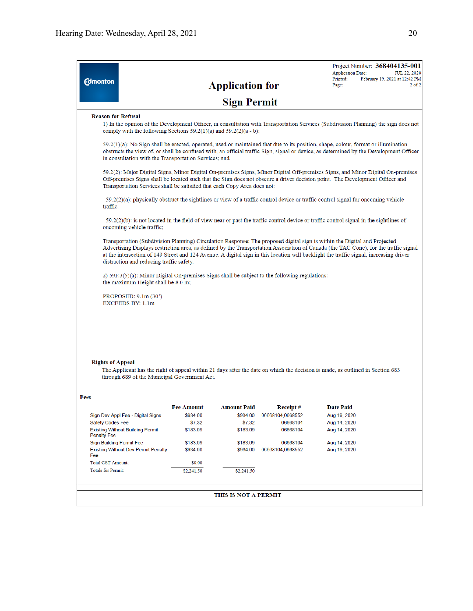| <b>Edmonton</b>                                                                                                                                                                                                                                                                                                                          |                                                                                                                                                                                                                                                                                                                                                                                                                                                         | <b>Application for</b> |                      | Project Number: 368404135-001<br><b>Application Date:</b><br>JUL 22, 2020<br>Printed:<br>February 19, 2021 at 12:42 PM<br>Page:<br>$2$ of $2$ |  |  |  |
|------------------------------------------------------------------------------------------------------------------------------------------------------------------------------------------------------------------------------------------------------------------------------------------------------------------------------------------|---------------------------------------------------------------------------------------------------------------------------------------------------------------------------------------------------------------------------------------------------------------------------------------------------------------------------------------------------------------------------------------------------------------------------------------------------------|------------------------|----------------------|-----------------------------------------------------------------------------------------------------------------------------------------------|--|--|--|
|                                                                                                                                                                                                                                                                                                                                          |                                                                                                                                                                                                                                                                                                                                                                                                                                                         | <b>Sign Permit</b>     |                      |                                                                                                                                               |  |  |  |
| <b>Reason for Refusal</b><br>comply with the following Sections $59.2(1)(a)$ and $59.2(2)(a - b)$ :                                                                                                                                                                                                                                      |                                                                                                                                                                                                                                                                                                                                                                                                                                                         |                        |                      | 1) In the opinion of the Development Officer, in consultation with Transportation Services (Subdivision Planning) the sign does not           |  |  |  |
| $59.2(1)(a)$ : No Sign shall be erected, operated, used or maintained that due to its position, shape, colour, format or illumination<br>obstructs the view of, or shall be confused with, an official traffic Sign, signal or device, as determined by the Development Officer<br>in consultation with the Transportation Services; and |                                                                                                                                                                                                                                                                                                                                                                                                                                                         |                        |                      |                                                                                                                                               |  |  |  |
|                                                                                                                                                                                                                                                                                                                                          | 59.2(2): Major Digital Signs, Minor Digital On-premises Signs, Minor Digital Off-premises Signs, and Minor Digital On-premises<br>Off-premises Signs shall be located such that the Sign does not obscure a driver decision point. The Development Officer and<br>Transportation Services shall be satisfied that each Copy Area does not:                                                                                                              |                        |                      |                                                                                                                                               |  |  |  |
| traffic.                                                                                                                                                                                                                                                                                                                                 | $59.2(2)(a)$ : physically obstruct the sightlines or view of a traffic control device or traffic control signal for oncoming vehicle                                                                                                                                                                                                                                                                                                                    |                        |                      |                                                                                                                                               |  |  |  |
|                                                                                                                                                                                                                                                                                                                                          | $59.2(2)(b)$ : is not located in the field of view near or past the traffic control device or traffic control signal in the sightlines of<br>oncoming vehicle traffic;                                                                                                                                                                                                                                                                                  |                        |                      |                                                                                                                                               |  |  |  |
|                                                                                                                                                                                                                                                                                                                                          | Transportation (Subdivision Planning) Circulation Response: The proposed digital sign is within the Digital and Projected<br>Advertising Displays restriction area, as defined by the Transportation Association of Canada (the TAC Cone), for the traffic signal<br>at the intersection of 149 Street and 124 Avenue. A digital sign in this location will backlight the traffic signal, increasing driver<br>distraction and reducing traffic safety. |                        |                      |                                                                                                                                               |  |  |  |
| 2) 59F.3(5)(a): Minor Digital On-premises Signs shall be subject to the following regulations:<br>the maximum Height shall be 8.0 m;                                                                                                                                                                                                     |                                                                                                                                                                                                                                                                                                                                                                                                                                                         |                        |                      |                                                                                                                                               |  |  |  |
| PROPOSED: 9.1m (30')<br><b>EXCEEDS BY: 1.1m</b>                                                                                                                                                                                                                                                                                          |                                                                                                                                                                                                                                                                                                                                                                                                                                                         |                        |                      |                                                                                                                                               |  |  |  |
|                                                                                                                                                                                                                                                                                                                                          |                                                                                                                                                                                                                                                                                                                                                                                                                                                         |                        |                      |                                                                                                                                               |  |  |  |
|                                                                                                                                                                                                                                                                                                                                          |                                                                                                                                                                                                                                                                                                                                                                                                                                                         |                        |                      |                                                                                                                                               |  |  |  |
| <b>Rights of Appeal</b><br>through 689 of the Municipal Government Act.                                                                                                                                                                                                                                                                  |                                                                                                                                                                                                                                                                                                                                                                                                                                                         |                        |                      | The Applicant has the right of appeal within 21 days after the date on which the decision is made, as outlined in Section 683                 |  |  |  |
| Fees                                                                                                                                                                                                                                                                                                                                     |                                                                                                                                                                                                                                                                                                                                                                                                                                                         |                        |                      |                                                                                                                                               |  |  |  |
|                                                                                                                                                                                                                                                                                                                                          | Fee Amount                                                                                                                                                                                                                                                                                                                                                                                                                                              | <b>Amount Paid</b>     | Receipt #            | <b>Date Paid</b>                                                                                                                              |  |  |  |
| Sign Dev Appl Fee - Digital Signs                                                                                                                                                                                                                                                                                                        | \$934.00                                                                                                                                                                                                                                                                                                                                                                                                                                                | \$934.00               | 06668104,0668552     | Aug 19, 2020                                                                                                                                  |  |  |  |
| <b>Safety Codes Fee</b><br><b>Existing Without Building Permit</b>                                                                                                                                                                                                                                                                       | \$7.32<br>\$183.09                                                                                                                                                                                                                                                                                                                                                                                                                                      | \$7.32<br>\$183.09     | 06668104<br>06668104 | Aug 14, 2020<br>Aug 14, 2020                                                                                                                  |  |  |  |
| <b>Penalty Fee</b>                                                                                                                                                                                                                                                                                                                       |                                                                                                                                                                                                                                                                                                                                                                                                                                                         |                        |                      |                                                                                                                                               |  |  |  |
| <b>Sign Building Permit Fee</b>                                                                                                                                                                                                                                                                                                          | \$183.09                                                                                                                                                                                                                                                                                                                                                                                                                                                | \$183.09               | 06668104             | Aug 14, 2020                                                                                                                                  |  |  |  |
| <b>Existing Without Dev Permit Penalty</b><br>Fee                                                                                                                                                                                                                                                                                        | \$934.00                                                                                                                                                                                                                                                                                                                                                                                                                                                | \$934.00               | 06668104,0668552     | Aug 19, 2020                                                                                                                                  |  |  |  |
| <b>Total GST Amount:</b>                                                                                                                                                                                                                                                                                                                 | \$0.00                                                                                                                                                                                                                                                                                                                                                                                                                                                  |                        |                      |                                                                                                                                               |  |  |  |
| <b>Totals for Permit:</b>                                                                                                                                                                                                                                                                                                                | \$2,241.50                                                                                                                                                                                                                                                                                                                                                                                                                                              | \$2,241.50             |                      |                                                                                                                                               |  |  |  |
|                                                                                                                                                                                                                                                                                                                                          |                                                                                                                                                                                                                                                                                                                                                                                                                                                         | THIS IS NOT A PERMIT   |                      |                                                                                                                                               |  |  |  |
|                                                                                                                                                                                                                                                                                                                                          |                                                                                                                                                                                                                                                                                                                                                                                                                                                         |                        |                      |                                                                                                                                               |  |  |  |